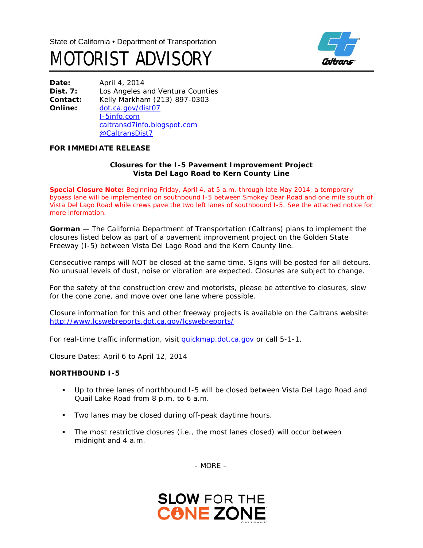



**Date:** April 4, 2014 **Dist. 7:** Los Angeles and Ventura Counties **Contact:** Kelly Markham (213) 897-0303 **Online:** [dot.ca.gov/dist07](http://www.dot.ca.gov/dist07) [I-5info.com](http://www.i-5info.com/) caltransd7info.blogspot.com @CaltransDist7

## **FOR IMMEDIATE RELEASE**

## **Closures for the I-5 Pavement Improvement Project Vista Del Lago Road to Kern County Line**

**Special Closure Note:** Beginning Friday, April 4, at 5 a.m. through late May 2014, a temporary bypass lane will be implemented on southbound I-5 between Smokey Bear Road and one mile south of Vista Del Lago Road while crews pave the two left lanes of southbound I-5. See the attached notice for more information.

**Gorman** — The California Department of Transportation (Caltrans) plans to implement the closures listed below as part of a pavement improvement project on the Golden State Freeway (I-5) between Vista Del Lago Road and the Kern County line.

Consecutive ramps will NOT be closed at the same time. Signs will be posted for all detours. No unusual levels of dust, noise or vibration are expected. Closures are subject to change.

For the safety of the construction crew and motorists, please be attentive to closures, slow for the cone zone, and move over one lane where possible.

Closure information for this and other freeway projects is available on the Caltrans website: <http://www.lcswebreports.dot.ca.gov/lcswebreports/>

For real-time traffic information, visit quickmap.dot.ca.gov or call 5-1-1.

*Closure Dates: April 6 to April 12, 2014*

## **NORTHBOUND I-5**

- Up to three lanes of northbound I-5 will be closed between Vista Del Lago Road and Quail Lake Road from 8 p.m. to 6 a.m.
- **Two lanes may be closed during off-peak daytime hours.**
- The most restrictive closures (i.e., the most lanes closed) will occur between midnight and 4 a.m.

- MORE –